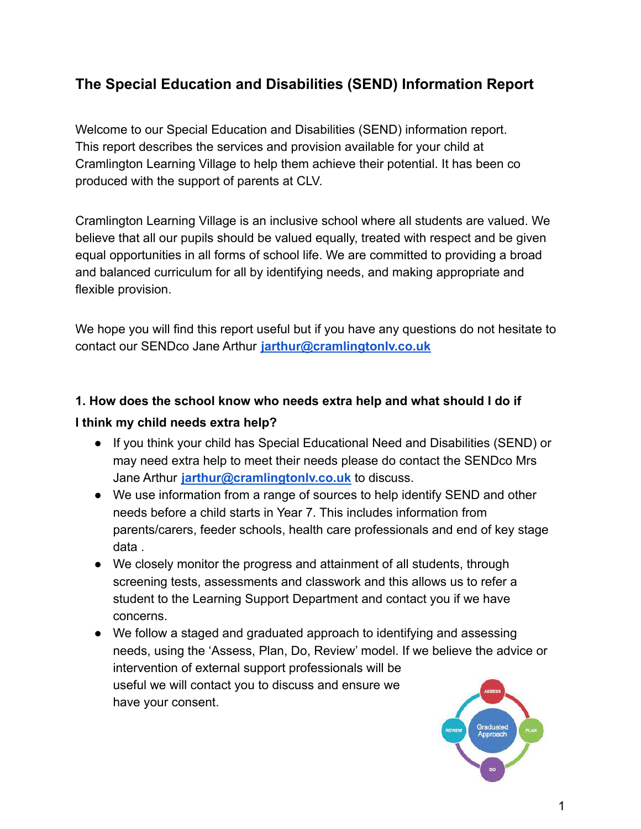# **The Special Education and Disabilities (SEND) Information Report**

Welcome to our Special Education and Disabilities (SEND) information report. This report describes the services and provision available for your child at Cramlington Learning Village to help them achieve their potential. It has been co produced with the support of parents at CLV.

Cramlington Learning Village is an inclusive school where all students are valued. We believe that all our pupils should be valued equally, treated with respect and be given equal opportunities in all forms of school life. We are committed to providing a broad and balanced curriculum for all by identifying needs, and making appropriate and flexible provision.

We hope you will find this report useful but if you have any questions do not hesitate to contact our SENDco Jane Arthur **[jarthur@cramlingtonlv.co.uk](mailto:jarthur@cramlingtonlv.co.uk)**

# **1. How does the school know who needs extra help and what should I do if I think my child needs extra help?**

- If you think your child has Special Educational Need and Disabilities (SEND) or may need extra help to meet their needs please do contact the SENDco Mrs Jane Arthur **[jarthur@cramlingtonlv.co.uk](mailto:jarthur@cramlingtonlv.co.uk)** to discuss.
- We use information from a range of sources to help identify SEND and other needs before a child starts in Year 7. This includes information from parents/carers, feeder schools, health care professionals and end of key stage data .
- We closely monitor the progress and attainment of all students, through screening tests, assessments and classwork and this allows us to refer a student to the Learning Support Department and contact you if we have concerns.
- We follow a staged and graduated approach to identifying and assessing needs, using the 'Assess, Plan, Do, Review' model. If we believe the advice or intervention of external support professionals will be useful we will contact you to discuss and ensure we have your consent.

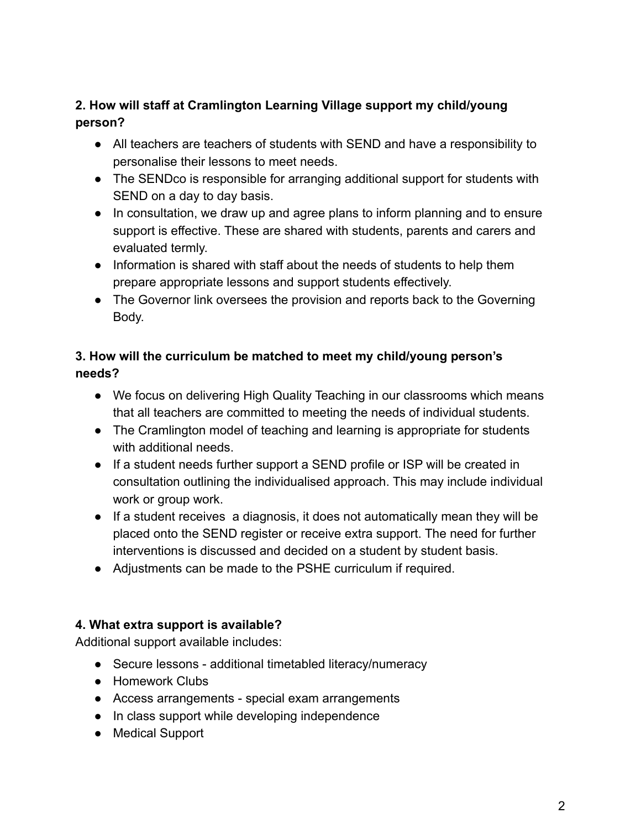## **2. How will staff at Cramlington Learning Village support my child/young person?**

- All teachers are teachers of students with SEND and have a responsibility to personalise their lessons to meet needs.
- The SENDco is responsible for arranging additional support for students with SEND on a day to day basis.
- In consultation, we draw up and agree plans to inform planning and to ensure support is effective. These are shared with students, parents and carers and evaluated termly.
- Information is shared with staff about the needs of students to help them prepare appropriate lessons and support students effectively.
- The Governor link oversees the provision and reports back to the Governing Body.

# **3. How will the curriculum be matched to meet my child/young person's needs?**

- We focus on delivering High Quality Teaching in our classrooms which means that all teachers are committed to meeting the needs of individual students.
- The Cramlington model of teaching and learning is appropriate for students with additional needs.
- If a student needs further support a SEND profile or ISP will be created in consultation outlining the individualised approach. This may include individual work or group work.
- If a student receives a diagnosis, it does not automatically mean they will be placed onto the SEND register or receive extra support. The need for further interventions is discussed and decided on a student by student basis.
- Adjustments can be made to the PSHE curriculum if required.

## **4. What extra support is available?**

Additional support available includes:

- Secure lessons additional timetabled literacy/numeracy
- Homework Clubs
- Access arrangements special exam arrangements
- In class support while developing independence
- Medical Support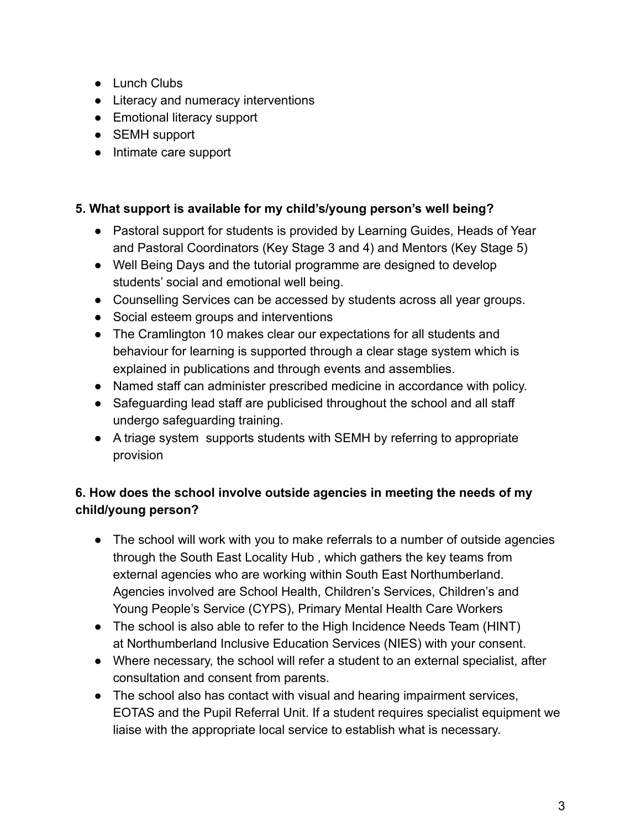- Lunch Clubs
- Literacy and numeracy interventions
- Emotional literacy support
- SEMH support
- Intimate care support

#### **5. What support is available for my child's/young person's well being?**

- Pastoral support for students is provided by Learning Guides, Heads of Year and Pastoral Coordinators (Key Stage 3 and 4) and Mentors (Key Stage 5)
- Well Being Days and the tutorial programme are designed to develop students' social and emotional well being.
- Counselling Services can be accessed by students across all year groups.
- Social esteem groups and interventions
- The Cramlington 10 makes clear our expectations for all students and behaviour for learning is supported through a clear stage system which is explained in publications and through events and assemblies.
- Named staff can administer prescribed medicine in accordance with policy.
- Safeguarding lead staff are publicised throughout the school and all staff undergo safeguarding training.
- A triage system supports students with SEMH by referring to appropriate provision

# **6. How does the school involve outside agencies in meeting the needs of my child/young person?**

- The school will work with you to make referrals to a number of outside agencies through the South East Locality Hub , which gathers the key teams from external agencies who are working within South East Northumberland. Agencies involved are School Health, Children's Services, Children's and Young People's Service (CYPS), Primary Mental Health Care Workers
- The school is also able to refer to the High Incidence Needs Team (HINT) at Northumberland Inclusive Education Services (NIES) with your consent.
- Where necessary, the school will refer a student to an external specialist, after consultation and consent from parents.
- The school also has contact with visual and hearing impairment services, EOTAS and the Pupil Referral Unit. If a student requires specialist equipment we liaise with the appropriate local service to establish what is necessary.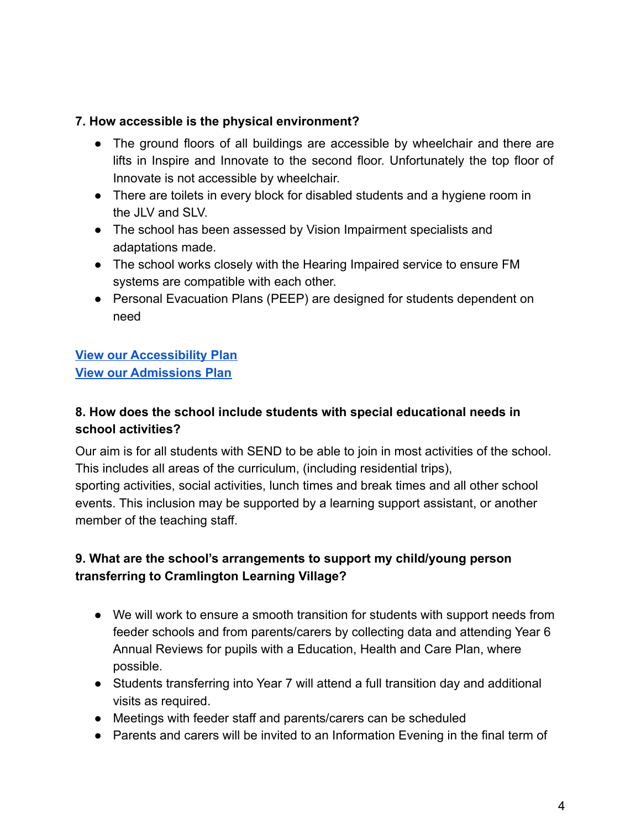#### **7. How accessible is the physical environment?**

- The ground floors of all buildings are accessible by wheelchair and there are lifts in Inspire and Innovate to the second floor. Unfortunately the top floor of Innovate is not accessible by wheelchair.
- There are toilets in every block for disabled students and a hygiene room in the JLV and SLV.
- The school has been assessed by Vision Impairment specialists and adaptations made.
- The school works closely with the Hearing Impaired service to ensure FM systems are compatible with each other.
- Personal Evacuation Plans (PEEP) are designed for students dependent on need

# **View our [Accessibility](https://www.cramlingtonlv.co.uk/wp-content/uploads/2022/05/AccessibilityPlan.pdf) Plan View our [Admissions](https://www.cramlingtonlv.co.uk/?page_id=3340) Plan**

## **8. How does the school include students with special educational needs in school activities?**

Our aim is for all students with SEND to be able to join in most activities of the school. This includes all areas of the curriculum, (including residential trips), sporting activities, social activities, lunch times and break times and all other school events. This inclusion may be supported by a learning support assistant, or another member of the teaching staff.

# **9. What are the school's arrangements to support my child/young person transferring to Cramlington Learning Village?**

- We will work to ensure a smooth transition for students with support needs from feeder schools and from parents/carers by collecting data and attending Year 6 Annual Reviews for pupils with a Education, Health and Care Plan, where possible.
- Students transferring into Year 7 will attend a full transition day and additional visits as required.
- Meetings with feeder staff and parents/carers can be scheduled
- Parents and carers will be invited to an Information Evening in the final term of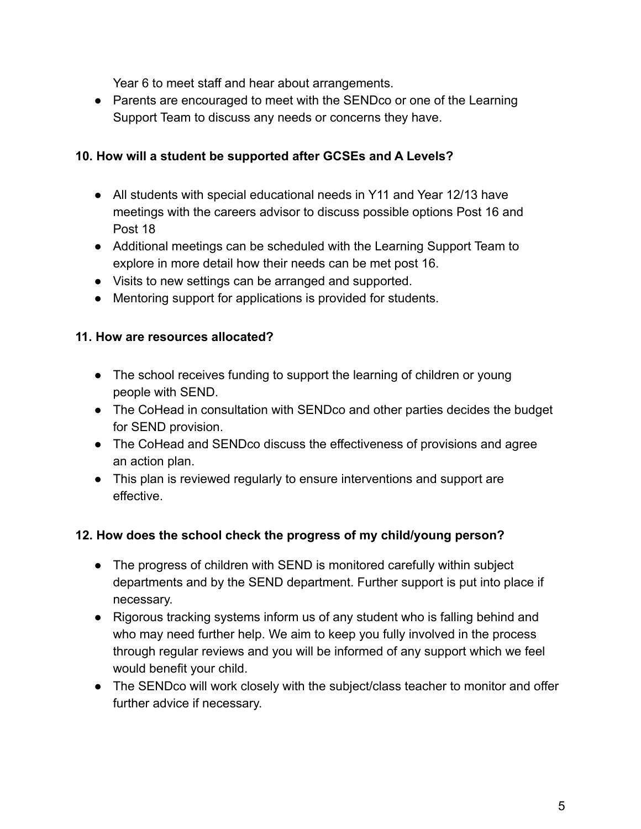Year 6 to meet staff and hear about arrangements.

● Parents are encouraged to meet with the SENDco or one of the Learning Support Team to discuss any needs or concerns they have.

## **10. How will a student be supported after GCSEs and A Levels?**

- All students with special educational needs in Y11 and Year 12/13 have meetings with the careers advisor to discuss possible options Post 16 and Post 18
- Additional meetings can be scheduled with the Learning Support Team to explore in more detail how their needs can be met post 16.
- Visits to new settings can be arranged and supported.
- Mentoring support for applications is provided for students.

# **11. How are resources allocated?**

- The school receives funding to support the learning of children or young people with SEND.
- The CoHead in consultation with SENDco and other parties decides the budget for SEND provision.
- The CoHead and SENDco discuss the effectiveness of provisions and agree an action plan.
- This plan is reviewed regularly to ensure interventions and support are effective.

## **12. How does the school check the progress of my child/young person?**

- The progress of children with SEND is monitored carefully within subject departments and by the SEND department. Further support is put into place if necessary.
- Rigorous tracking systems inform us of any student who is falling behind and who may need further help. We aim to keep you fully involved in the process through regular reviews and you will be informed of any support which we feel would benefit your child.
- The SENDco will work closely with the subject/class teacher to monitor and offer further advice if necessary.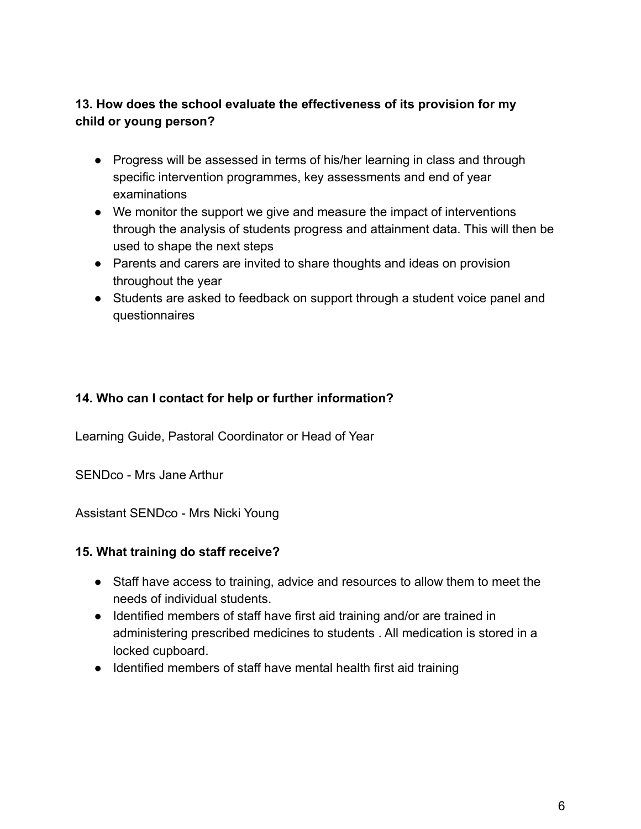## **13. How does the school evaluate the effectiveness of its provision for my child or young person?**

- Progress will be assessed in terms of his/her learning in class and through specific intervention programmes, key assessments and end of year examinations
- We monitor the support we give and measure the impact of interventions through the analysis of students progress and attainment data. This will then be used to shape the next steps
- Parents and carers are invited to share thoughts and ideas on provision throughout the year
- Students are asked to feedback on support through a student voice panel and questionnaires

#### **14. Who can I contact for help or further information?**

Learning Guide, Pastoral Coordinator or Head of Year

SENDco - Mrs Jane Arthur

Assistant SENDco - Mrs Nicki Young

#### **15. What training do staff receive?**

- Staff have access to training, advice and resources to allow them to meet the needs of individual students.
- Identified members of staff have first aid training and/or are trained in administering prescribed medicines to students . All medication is stored in a locked cupboard.
- Identified members of staff have mental health first aid training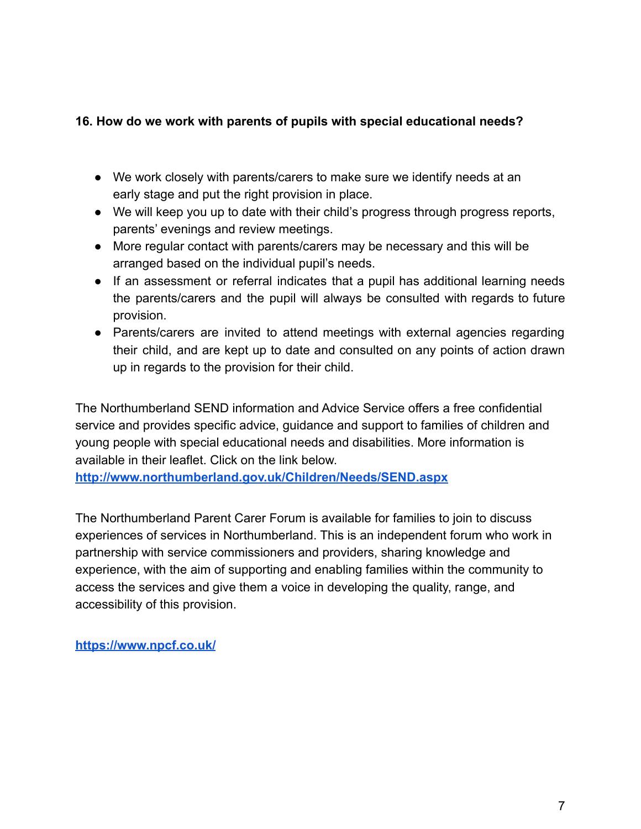#### **16. How do we work with parents of pupils with special educational needs?**

- We work closely with parents/carers to make sure we identify needs at an early stage and put the right provision in place.
- We will keep you up to date with their child's progress through progress reports, parents' evenings and review meetings.
- More regular contact with parents/carers may be necessary and this will be arranged based on the individual pupil's needs.
- If an assessment or referral indicates that a pupil has additional learning needs the parents/carers and the pupil will always be consulted with regards to future provision.
- Parents/carers are invited to attend meetings with external agencies regarding their child, and are kept up to date and consulted on any points of action drawn up in regards to the provision for their child.

The Northumberland SEND information and Advice Service offers a free confidential service and provides specific advice, guidance and support to families of children and young people with special educational needs and disabilities. More information is available in their leaflet. Click on the link below.

**<http://www.northumberland.gov.uk/Children/Needs/SEND.aspx>**

The Northumberland Parent Carer Forum is available for families to join to discuss experiences of services in Northumberland. This is an independent forum who work in partnership with service commissioners and providers, sharing knowledge and experience, with the aim of supporting and enabling families within the community to access the services and give them a voice in developing the quality, range, and accessibility of this provision.

**<https://www.npcf.co.uk/>**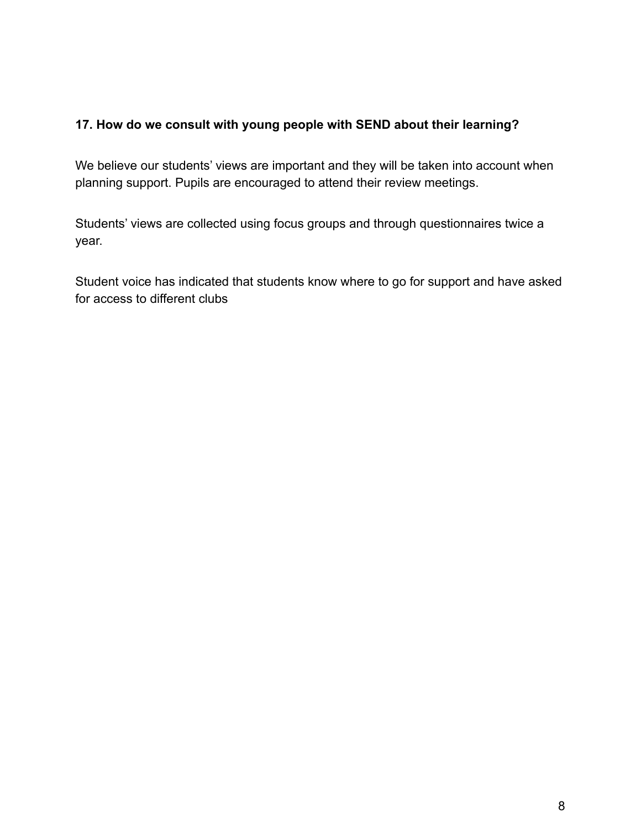#### **17. How do we consult with young people with SEND about their learning?**

We believe our students' views are important and they will be taken into account when planning support. Pupils are encouraged to attend their review meetings.

Students' views are collected using focus groups and through questionnaires twice a year.

Student voice has indicated that students know where to go for support and have asked for access to different clubs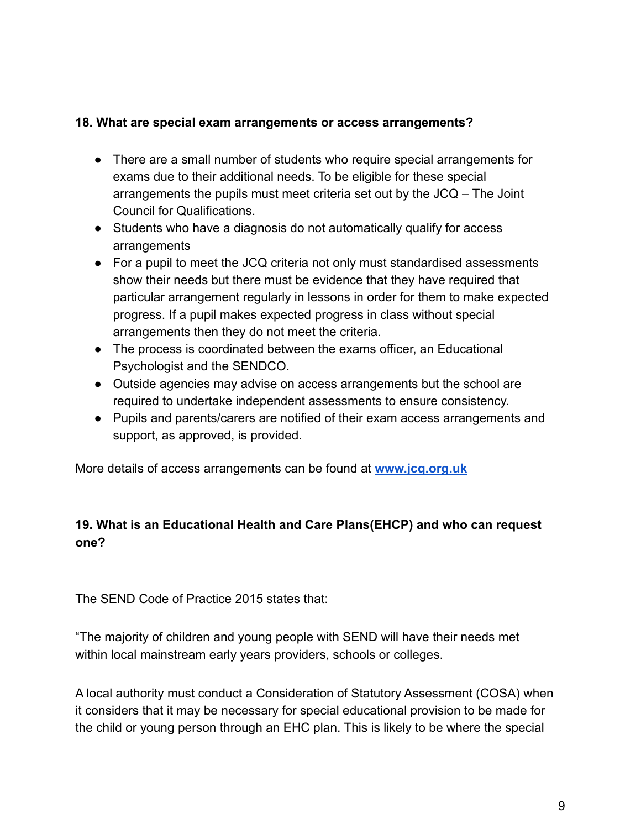#### **18. What are special exam arrangements or access arrangements?**

- There are a small number of students who require special arrangements for exams due to their additional needs. To be eligible for these special arrangements the pupils must meet criteria set out by the JCQ – The Joint Council for Qualifications.
- Students who have a diagnosis do not automatically qualify for access arrangements
- For a pupil to meet the JCQ criteria not only must standardised assessments show their needs but there must be evidence that they have required that particular arrangement regularly in lessons in order for them to make expected progress. If a pupil makes expected progress in class without special arrangements then they do not meet the criteria.
- The process is coordinated between the exams officer, an Educational Psychologist and the SENDCO.
- Outside agencies may advise on access arrangements but the school are required to undertake independent assessments to ensure consistency.
- Pupils and parents/carers are notified of their exam access arrangements and support, as approved, is provided.

More details of access arrangements can be found at **[www.jcq.org.uk](http://www.jcq.org.uk)**

# **19. What is an Educational Health and Care Plans(EHCP) and who can request one?**

The SEND Code of Practice 2015 states that:

"The majority of children and young people with SEND will have their needs met within local mainstream early years providers, schools or colleges.

A local authority must conduct a Consideration of Statutory Assessment (COSA) when it considers that it may be necessary for special educational provision to be made for the child or young person through an EHC plan. This is likely to be where the special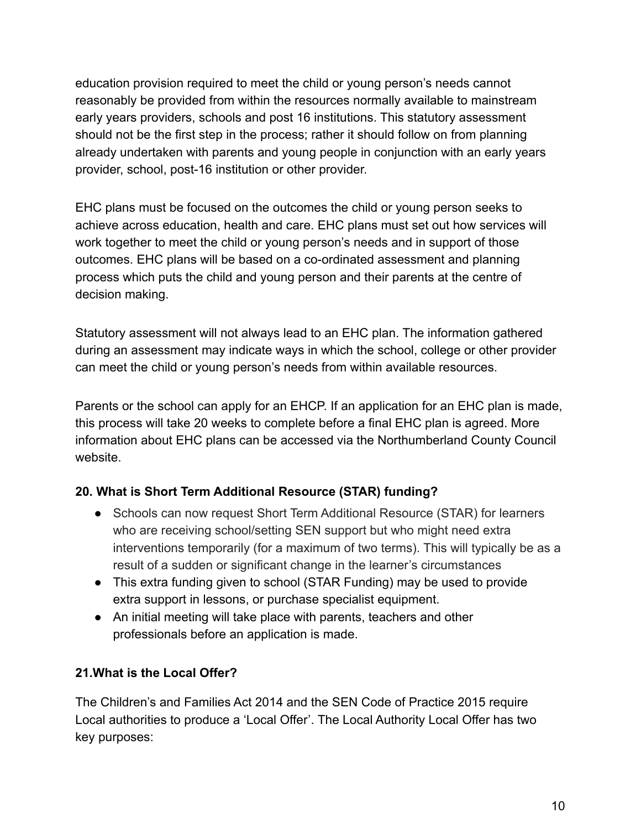education provision required to meet the child or young person's needs cannot reasonably be provided from within the resources normally available to mainstream early years providers, schools and post 16 institutions. This statutory assessment should not be the first step in the process; rather it should follow on from planning already undertaken with parents and young people in conjunction with an early years provider, school, post-16 institution or other provider.

EHC plans must be focused on the outcomes the child or young person seeks to achieve across education, health and care. EHC plans must set out how services will work together to meet the child or young person's needs and in support of those outcomes. EHC plans will be based on a co-ordinated assessment and planning process which puts the child and young person and their parents at the centre of decision making.

Statutory assessment will not always lead to an EHC plan. The information gathered during an assessment may indicate ways in which the school, college or other provider can meet the child or young person's needs from within available resources.

Parents or the school can apply for an EHCP. If an application for an EHC plan is made, this process will take 20 weeks to complete before a final EHC plan is agreed. More information about EHC plans can be accessed via the Northumberland County Council website.

## **20. What is Short Term Additional Resource (STAR) funding?**

- Schools can now request Short Term Additional Resource (STAR) for learners who are receiving school/setting SEN support but who might need extra interventions temporarily (for a maximum of two terms). This will typically be as a result of a sudden or significant change in the learner's circumstances
- This extra funding given to school (STAR Funding) may be used to provide extra support in lessons, or purchase specialist equipment.
- An initial meeting will take place with parents, teachers and other professionals before an application is made.

## **21.What is the Local Offer?**

The Children's and Families Act 2014 and the SEN Code of Practice 2015 require Local authorities to produce a 'Local Offer'. The Local Authority Local Offer has two key purposes: